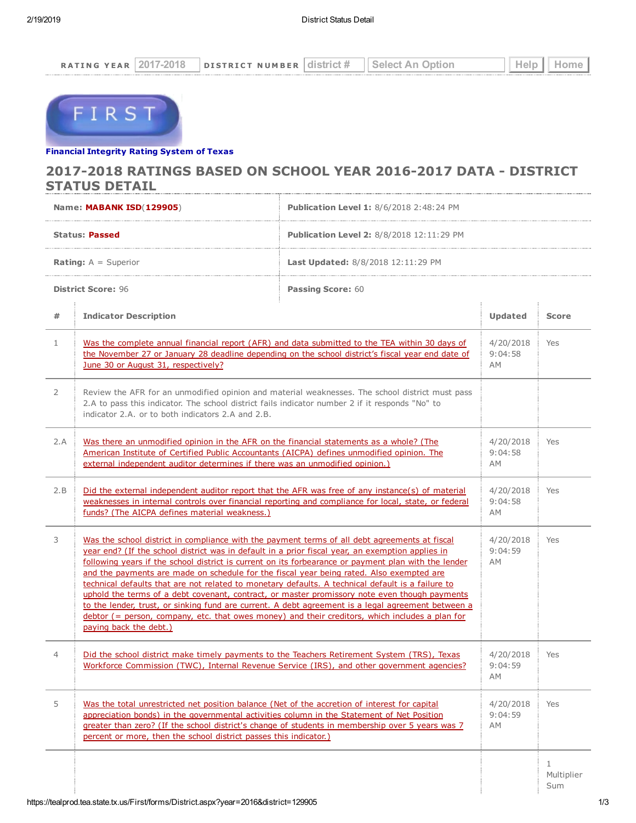

## Financial [Integrity](https://tealprod.tea.state.tx.us/First/forms/Main.aspx) Rating System of Texas

## 2017-2018 RATINGS BASED ON SCHOOL YEAR 2016-2017 DATA - DISTRICT STATUS DETAIL

|                               | Name: MABANK ISD(129905)                                                                                                                                                                                                                                                                                                                                                                                                                                                                                                                                                                                                                                                                                                                                                                                                                       | <b>Publication Level 1: 8/6/2018 2:48:24 PM</b>  |                                   |                        |
|-------------------------------|------------------------------------------------------------------------------------------------------------------------------------------------------------------------------------------------------------------------------------------------------------------------------------------------------------------------------------------------------------------------------------------------------------------------------------------------------------------------------------------------------------------------------------------------------------------------------------------------------------------------------------------------------------------------------------------------------------------------------------------------------------------------------------------------------------------------------------------------|--------------------------------------------------|-----------------------------------|------------------------|
| <b>Status: Passed</b>         |                                                                                                                                                                                                                                                                                                                                                                                                                                                                                                                                                                                                                                                                                                                                                                                                                                                | <b>Publication Level 2:</b> 8/8/2018 12:11:29 PM |                                   |                        |
| <b>Rating:</b> $A =$ Superior |                                                                                                                                                                                                                                                                                                                                                                                                                                                                                                                                                                                                                                                                                                                                                                                                                                                | <b>Last Updated:</b> 8/8/2018 12:11:29 PM        |                                   |                        |
| <b>District Score: 96</b>     |                                                                                                                                                                                                                                                                                                                                                                                                                                                                                                                                                                                                                                                                                                                                                                                                                                                | <b>Passing Score: 60</b>                         |                                   |                        |
| #                             | <b>Indicator Description</b>                                                                                                                                                                                                                                                                                                                                                                                                                                                                                                                                                                                                                                                                                                                                                                                                                   |                                                  | Updated                           | <b>Score</b>           |
| $\mathbf{1}$                  | Was the complete annual financial report (AFR) and data submitted to the TEA within 30 days of<br>the November 27 or January 28 deadline depending on the school district's fiscal year end date of<br>June 30 or August 31, respectively?                                                                                                                                                                                                                                                                                                                                                                                                                                                                                                                                                                                                     |                                                  | 4/20/2018<br>9:04:58<br>AM.       | Yes                    |
| 2                             | Review the AFR for an unmodified opinion and material weaknesses. The school district must pass<br>2.A to pass this indicator. The school district fails indicator number 2 if it responds "No" to<br>indicator 2.A. or to both indicators 2.A and 2.B.                                                                                                                                                                                                                                                                                                                                                                                                                                                                                                                                                                                        |                                                  |                                   |                        |
| 2.A                           | Was there an unmodified opinion in the AFR on the financial statements as a whole? (The<br>American Institute of Certified Public Accountants (AICPA) defines unmodified opinion. The<br>external independent auditor determines if there was an unmodified opinion.)                                                                                                                                                                                                                                                                                                                                                                                                                                                                                                                                                                          |                                                  | 4/20/2018<br>9:04:58<br><b>AM</b> | Yes                    |
| 2.B                           | Did the external independent auditor report that the AFR was free of any instance(s) of material<br>weaknesses in internal controls over financial reporting and compliance for local, state, or federal<br>funds? (The AICPA defines material weakness.)                                                                                                                                                                                                                                                                                                                                                                                                                                                                                                                                                                                      |                                                  | 4/20/2018<br>9:04:58<br>AM        | Yes                    |
| 3                             | Was the school district in compliance with the payment terms of all debt agreements at fiscal<br>year end? (If the school district was in default in a prior fiscal year, an exemption applies in<br>following years if the school district is current on its forbearance or payment plan with the lender<br>and the payments are made on schedule for the fiscal year being rated. Also exempted are<br>technical defaults that are not related to monetary defaults. A technical default is a failure to<br>uphold the terms of a debt covenant, contract, or master promissory note even though payments<br>to the lender, trust, or sinking fund are current. A debt agreement is a legal agreement between a<br>debtor (= person, company, etc. that owes money) and their creditors, which includes a plan for<br>paying back the debt.) |                                                  | 4/20/2018<br>9:04:59<br><b>AM</b> | Yes                    |
| 4                             | <u>Did the school district make timely payments to the Teachers Retirement System (TRS), Texas</u><br>Workforce Commission (TWC), Internal Revenue Service (IRS), and other government agencies?                                                                                                                                                                                                                                                                                                                                                                                                                                                                                                                                                                                                                                               |                                                  | 4/20/2018<br>9:04:59<br>AM        | Yes                    |
| 5                             | Was the total unrestricted net position balance (Net of the accretion of interest for capital<br>appreciation bonds) in the governmental activities column in the Statement of Net Position<br>greater than zero? (If the school district's change of students in membership over 5 years was 7<br>percent or more, then the school district passes this indicator.)                                                                                                                                                                                                                                                                                                                                                                                                                                                                           |                                                  | 4/20/2018<br>9:04:59<br><b>AM</b> | Yes                    |
|                               |                                                                                                                                                                                                                                                                                                                                                                                                                                                                                                                                                                                                                                                                                                                                                                                                                                                |                                                  |                                   | 1<br>Multiplier<br>Sum |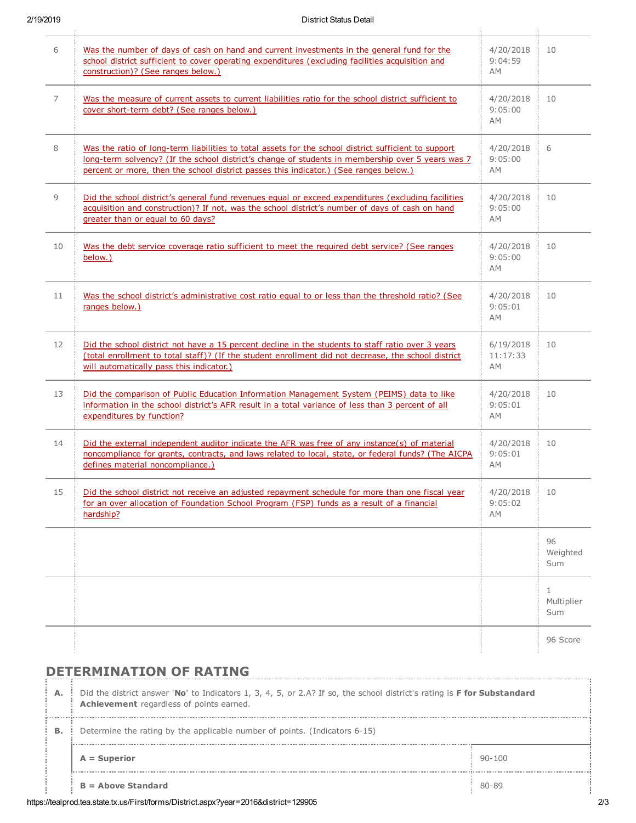| 6  | Was the number of days of cash on hand and current investments in the general fund for the<br>school district sufficient to cover operating expenditures (excluding facilities acquisition and<br>construction)? (See ranges below.)                                                               | 4/20/2018<br>9:04:59<br>АM    | 10                                |
|----|----------------------------------------------------------------------------------------------------------------------------------------------------------------------------------------------------------------------------------------------------------------------------------------------------|-------------------------------|-----------------------------------|
| 7  | Was the measure of current assets to current liabilities ratio for the school district sufficient to<br>cover short-term debt? (See ranges below.)                                                                                                                                                 | 4/20/2018<br>9:05:00<br>AM    | 10                                |
| 8  | Was the ratio of long-term liabilities to total assets for the school district sufficient to support<br>long-term solvency? (If the school district's change of students in membership over 5 years was 7<br>percent or more, then the school district passes this indicator.) (See ranges below.) | 4/20/2018<br>9:05:00<br>AM    | 6                                 |
| 9  | Did the school district's general fund revenues equal or exceed expenditures (excluding facilities<br>acquisition and construction)? If not, was the school district's number of days of cash on hand<br>greater than or equal to 60 days?                                                         | 4/20/2018<br>9:05:00<br>AM    | 10                                |
| 10 | Was the debt service coverage ratio sufficient to meet the required debt service? (See ranges<br>below.)                                                                                                                                                                                           | 4/20/2018<br>9:05:00<br>АM    | 10                                |
| 11 | Was the school district's administrative cost ratio equal to or less than the threshold ratio? (See<br>ranges below.)                                                                                                                                                                              | 4/20/2018<br>9:05:01<br>AM    | 10                                |
| 12 | Did the school district not have a 15 percent decline in the students to staff ratio over 3 years<br>(total enrollment to total staff)? (If the student enrollment did not decrease, the school district<br>will automatically pass this indicator.)                                               | 6/19/2018<br>11:17:33<br>АM   | 10                                |
| 13 | Did the comparison of Public Education Information Management System (PEIMS) data to like<br>information in the school district's AFR result in a total variance of less than 3 percent of all<br>expenditures by function?                                                                        | 4/20/2018<br>9:05:01<br>AM    | 10                                |
| 14 | Did the external independent auditor indicate the AFR was free of any instance(s) of material<br>noncompliance for grants, contracts, and laws related to local, state, or federal funds? (The AICPA<br>defines material noncompliance.)                                                           | 4/20/2018<br>9:05:01<br>АM    | 10                                |
| 15 | Did the school district not receive an adjusted repayment schedule for more than one fiscal year<br>for an over allocation of Foundation School Program (FSP) funds as a result of a financial<br>hardship?                                                                                        | 4/20/2018 10<br>9:05:02<br>AM |                                   |
|    |                                                                                                                                                                                                                                                                                                    |                               | 96<br>Weighted<br>Sum             |
|    |                                                                                                                                                                                                                                                                                                    |                               | $\mathbf{1}$<br>Multiplier<br>Sum |
|    |                                                                                                                                                                                                                                                                                                    |                               | 96 Score                          |

## DETERMINATION OF RATING

| А. | Did the district answer 'No' to Indicators 1, 3, 4, 5, or 2.A? If so, the school district's rating is <b>F for Substandard</b><br>Achievement regardless of points earned. |            |  |  |  |
|----|----------------------------------------------------------------------------------------------------------------------------------------------------------------------------|------------|--|--|--|
| В. | Determine the rating by the applicable number of points. (Indicators 6-15)                                                                                                 |            |  |  |  |
|    | $A = Superior$                                                                                                                                                             | $90 - 100$ |  |  |  |
|    | $B =$ Above Standard                                                                                                                                                       | $80 - 89$  |  |  |  |